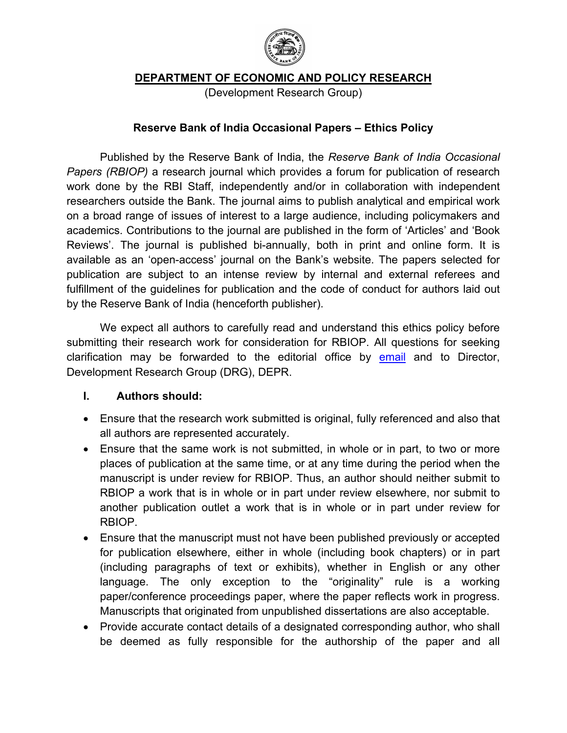

**DEPARTMENT OF ECONOMIC AND POLICY RESEARCH** 

(Development Research Group)

#### **Reserve Bank of India Occasional Papers – Ethics Policy**

Published by the Reserve Bank of India, the *Reserve Bank of India Occasional Papers (RBIOP)* a research journal which provides a forum for publication of research work done by the RBI Staff, independently and/or in collaboration with independent researchers outside the Bank. The journal aims to publish analytical and empirical work on a broad range of issues of interest to a large audience, including policymakers and academics. Contributions to the journal are published in the form of 'Articles' and 'Book Reviews'. The journal is published bi-annually, both in print and online form. It is available as an 'open-access' journal on the Bank's website. The papers selected for publication are subject to an intense review by internal and external referees and fulfillment of the guidelines for publication and the code of conduct for authors laid out by the Reserve Bank of India (henceforth publisher).

We expect all authors to carefully read and understand this ethics policy before submitting their research work for consideration for RBIOP. All questions for seeking clarification may be forwarded to the editorial office by [email](mailto:occasionalpapers@rbi.org.in) and to Director, Development Research Group (DRG), DEPR.

### **I. Authors should:**

- Ensure that the research work submitted is original, fully referenced and also that all authors are represented accurately.
- Ensure that the same work is not submitted, in whole or in part, to two or more places of publication at the same time, or at any time during the period when the manuscript is under review for RBIOP. Thus, an author should neither submit to RBIOP a work that is in whole or in part under review elsewhere, nor submit to another publication outlet a work that is in whole or in part under review for RBIOP.
- Ensure that the manuscript must not have been published previously or accepted for publication elsewhere, either in whole (including book chapters) or in part (including paragraphs of text or exhibits), whether in English or any other language. The only exception to the "originality" rule is a working paper/conference proceedings paper, where the paper reflects work in progress. Manuscripts that originated from unpublished dissertations are also acceptable.
- Provide accurate contact details of a designated corresponding author, who shall be deemed as fully responsible for the authorship of the paper and all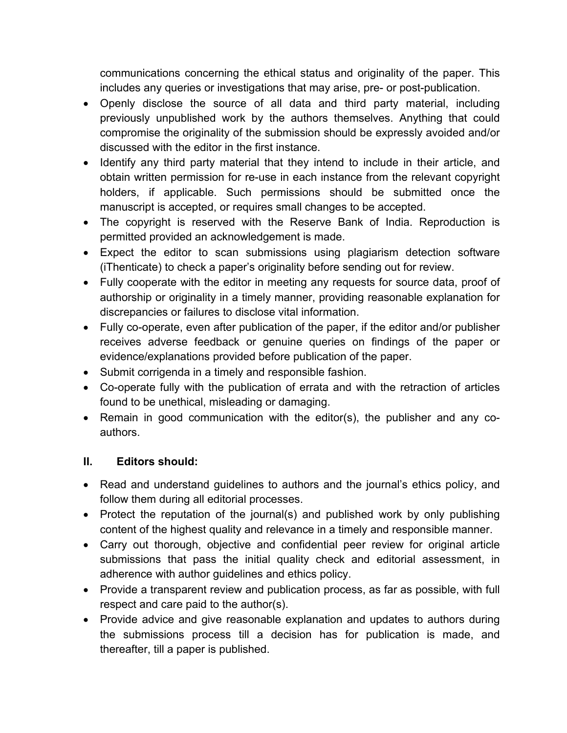communications concerning the ethical status and originality of the paper. This includes any queries or investigations that may arise, pre- or post-publication.

- Openly disclose the source of all data and third party material, including previously unpublished work by the authors themselves. Anything that could compromise the originality of the submission should be expressly avoided and/or discussed with the editor in the first instance.
- Identify any third party material that they intend to include in their article, and obtain written permission for re-use in each instance from the relevant copyright holders, if applicable. Such permissions should be submitted once the manuscript is accepted, or requires small changes to be accepted.
- The copyright is reserved with the Reserve Bank of India. Reproduction is permitted provided an acknowledgement is made.
- Expect the editor to scan submissions using plagiarism detection software (iThenticate) to check a paper's originality before sending out for review.
- Fully cooperate with the editor in meeting any requests for source data, proof of authorship or originality in a timely manner, providing reasonable explanation for discrepancies or failures to disclose vital information.
- Fully co-operate, even after publication of the paper, if the editor and/or publisher receives adverse feedback or genuine queries on findings of the paper or evidence/explanations provided before publication of the paper.
- Submit corrigenda in a timely and responsible fashion.
- Co-operate fully with the publication of errata and with the retraction of articles found to be unethical, misleading or damaging.
- Remain in good communication with the editor(s), the publisher and any coauthors.

## **II. Editors should:**

- Read and understand guidelines to authors and the journal's ethics policy, and follow them during all editorial processes.
- Protect the reputation of the journal(s) and published work by only publishing content of the highest quality and relevance in a timely and responsible manner.
- Carry out thorough, objective and confidential peer review for original article submissions that pass the initial quality check and editorial assessment, in adherence with author guidelines and ethics policy.
- Provide a transparent review and publication process, as far as possible, with full respect and care paid to the author(s).
- Provide advice and give reasonable explanation and updates to authors during the submissions process till a decision has for publication is made, and thereafter, till a paper is published.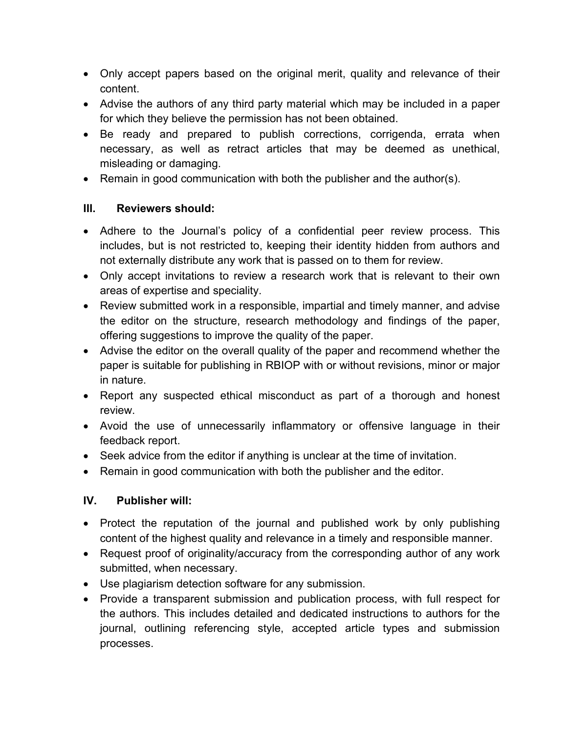- Only accept papers based on the original merit, quality and relevance of their content.
- Advise the authors of any third party material which may be included in a paper for which they believe the permission has not been obtained.
- Be ready and prepared to publish corrections, corrigenda, errata when necessary, as well as retract articles that may be deemed as unethical, misleading or damaging.
- Remain in good communication with both the publisher and the author(s).

# **III. Reviewers should:**

- Adhere to the Journal's policy of a confidential peer review process. This includes, but is not restricted to, keeping their identity hidden from authors and not externally distribute any work that is passed on to them for review.
- Only accept invitations to review a research work that is relevant to their own areas of expertise and speciality.
- Review submitted work in a responsible, impartial and timely manner, and advise the editor on the structure, research methodology and findings of the paper, offering suggestions to improve the quality of the paper.
- Advise the editor on the overall quality of the paper and recommend whether the paper is suitable for publishing in RBIOP with or without revisions, minor or major in nature.
- Report any suspected ethical misconduct as part of a thorough and honest review.
- Avoid the use of unnecessarily inflammatory or offensive language in their feedback report.
- Seek advice from the editor if anything is unclear at the time of invitation.
- Remain in good communication with both the publisher and the editor.

## **IV. Publisher will:**

- Protect the reputation of the journal and published work by only publishing content of the highest quality and relevance in a timely and responsible manner.
- Request proof of originality/accuracy from the corresponding author of any work submitted, when necessary.
- Use plagiarism detection software for any submission.
- Provide a transparent submission and publication process, with full respect for the authors. This includes detailed and dedicated instructions to authors for the journal, outlining referencing style, accepted article types and submission processes.